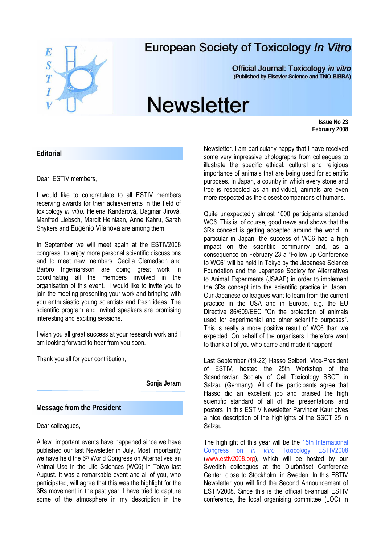

## **European Society of Toxicology In Vitro**

**Official Journal: Toxicology in vitro** (Published by Elsevier Science and TNO-BIBRA)

# **Newsletter**

 **Issue No 23 February 2008** 

#### **Editorial**

Dear ESTIV members,

I would like to congratulate to all ESTIV members receiving awards for their achievements in the field of toxicology *in vitro*. Helena Kandárová, Dagmar Jírová, Manfred Liebsch, Margit Heinlaan, Anne Kahru, Sarah Snykers and Eugenio Vilanova are among them.

In September we will meet again at the ESTIV2008 congress, to enjoy more personal scientific discussions and to meet new members. Cecilia Clemedson and Barbro Ingemarsson are doing great work in coordinating all the members involved in the organisation of this event. I would like to invite you to join the meeting presenting your work and bringing with you enthusiastic young scientists and fresh ideas. The scientific program and invited speakers are promising interesting and exciting sessions.

I wish you all great success at your research work and I am looking forward to hear from you soon.

Thank you all for your contribution,

**Sonja Jeram** 

#### **Message from the President**

Dear colleagues,

A few important events have happened since we have published our last Newsletter in July. Most importantly we have held the 6<sup>th</sup> World Congress on Alternatives an Animal Use in the Life Sciences (WC6) in Tokyo last August. It was a remarkable event and all of you, who participated, will agree that this was the highlight for the 3Rs movement in the past year. I have tried to capture some of the atmosphere in my description in the

Newsletter. I am particularly happy that I have received some very impressive photographs from colleagues to illustrate the specific ethical, cultural and religious importance of animals that are being used for scientific purposes. In Japan, a country in which every stone and tree is respected as an individual, animals are even more respected as the closest companions of humans.

Quite unexpectedly almost 1000 participants attended WC6. This is, of course, good news and shows that the 3Rs concept is getting accepted around the world. In particular in Japan, the success of WC6 had a high impact on the scientific community and, as a consequence on February 23 a "Follow-up Conference to WC6" will be held in Tokyo by the Japanese Science Foundation and the Japanese Society for Alternatives to Animal Experiments (JSAAE) in order to implement the 3Rs concept into the scientific practice in Japan. Our Japanese colleagues want to learn from the current practice in the USA and in Europe, e.g. the EU Directive 86/609/EEC "On the protection of animals used for experimental and other scientific purposes". This is really a more positive result of WC6 than we expected. On behalf of the organisers I therefore want to thank all of you who came and made it happen!

Last September (19-22) Hasso Seibert, Vice-President of ESTIV, hosted the 25th Workshop of the Scandinavian Society of Cell Toxicology SSCT in Salzau (Germany). All of the participants agree that Hasso did an excellent job and praised the high scientific standard of all of the presentations and posters. In this ESTIV Newsletter Parvinder Kaur gives a nice description of the highlights of the SSCT 25 in Salzau.

The highlight of this year will be the 15th International Congress on *in vitro* Toxicology ESTIV2008 [\(www.estiv2008.org\)](http://www.estiv2008.org/), which will be hosted by our Swedish colleagues at the Djurönäset Conference Center, close to Stockholm, in Sweden. In this ESTIV Newsletter you will find the Second Announcement of ESTIV2008. Since this is the official bi-annual ESTIV conference, the local organising committee (LOC) in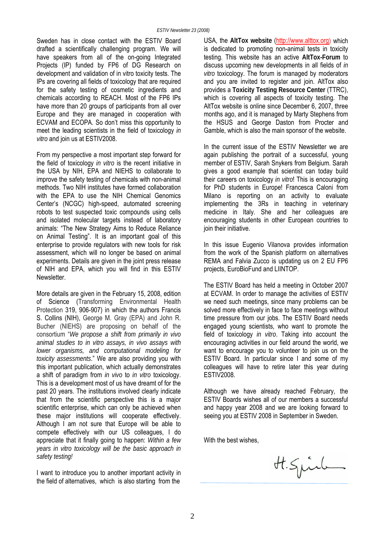Sweden has in close contact with the ESTIV Board drafted a scientifically challenging program. We will have speakers from all of the on-going Integrated Projects (IP) funded by FP6 of DG Research on development and validation of in vitro toxicity tests. The IPs are covering all fields of toxicology that are required for the safety testing of cosmetic ingredients and chemicals according to REACH. Most of the FP6 IPs have more than 20 groups of participants from all over Europe and they are managed in cooperation with ECVAM and ECOPA. So don't miss this opportunity to meet the leading scientists in the field of toxicology *in vitro* and join us at ESTIV2008.

From my perspective a most important step forward for the field of toxicology *in vitro* is the recent initiative in the USA by NIH, EPA and NIEHS to collaborate to improve the safety testing of chemicals with non-animal methods. Two NIH institutes have formed collaboration with the EPA to use the NIH Chemical Genomics Center's (NCGC) high-speed, automated screening robots to test suspected toxic compounds using cells and isolated molecular targets instead of laboratory animals: "The New Strategy Aims to Reduce Reliance on Animal Testing". It is an important goal of this enterprise to provide regulators with new tools for risk assessment, which will no longer be based on animal experiments. Details are given in the joint press release of NIH and EPA, which you will find in this ESTIV Newsletter.

More details are given in the February 15, 2008, edition of Science (Transforming Environmental Health Protection 319, 906-907) in which the authors Francis S. Collins (NIH), George M. Gray (EPA) and John R. Bucher (NIEHS) are proposing on behalf of the consortium "*We propose a shift from primarily in vivo animal studies to in vitro assays, in vivo assays with lower organisms, and computational modeling for toxicity assessments*." We are also providing you with this important publication, which actually demonstrates a shift of paradigm from *in vivo* to *in vitro* toxicology. This is a development most of us have dreamt of for the past 20 years. The institutions involved clearly indicate that from the scientific perspective this is a major scientific enterprise, which can only be achieved when these major institutions will cooperate effectively. Although I am not sure that Europe will be able to compete effectively with our US colleagues, I do appreciate that it finally going to happen: *Within a few years in vitro toxicology will be the basic approach in safety testing!* 

I want to introduce you to another important activity in the field of alternatives, which is also starting from the

USA, the **AltTox website** [\(http://www.alttox.org\)](http://www.alttox.org/) which is dedicated to promoting non-animal tests in toxicity testing. This website has an active **AltTox-Forum** to discuss upcoming new developments in all fields of *in vitro* toxicology. The forum is managed by moderators and you are invited to register and join. AltTox also provides a **Toxicity Testing Resource Center** (TTRC), which is covering all aspects of toxicity testing. The AltTox website is online since December 6, 2007, three months ago, and it is managed by Marty Stephens from the HSUS and George Daston from Procter and Gamble, which is also the main sponsor of the website.

In the current issue of the ESTIV Newsletter we are again publishing the portrait of a successful, young member of ESTIV, Sarah Snykers from Belgium. Sarah gives a good example that scientist can today build their careers on toxicology *in vitro*! This is encouraging for PhD students in Europe! Francesca Caloni from Milano is reporting on an activity to evaluate implementing the 3Rs in teaching in veterinary medicine in Italy. She and her colleagues are encouraging students in other European countries to join their initiative.

In this issue Eugenio Vilanova provides information from the work of the Spanish platform on alternatives REMA and Falvia Zucco is updating us on 2 EU FP6 projects, EuroBioFund and LIINTOP.

The ESTIV Board has held a meeting in October 2007 at ECVAM. In order to manage the activities of ESTIV we need such meetings, since many problems can be solved more effectively in face to face meetings without time pressure from our jobs. The ESTIV Board needs engaged young scientists, who want to promote the field of toxicology *in vitro*. Taking into account the encouraging activities in our field around the world, we want to encourage you to volunteer to join us on the ESTIV Board. In particular since I and some of my colleagues will have to retire later this year during ESTIV2008.

Although we have already reached February, the ESTIV Boards wishes all of our members a successful and happy year 2008 and we are looking forward to seeing you at ESTIV 2008 in September in Sweden.

With the best wishes,

H. Spirk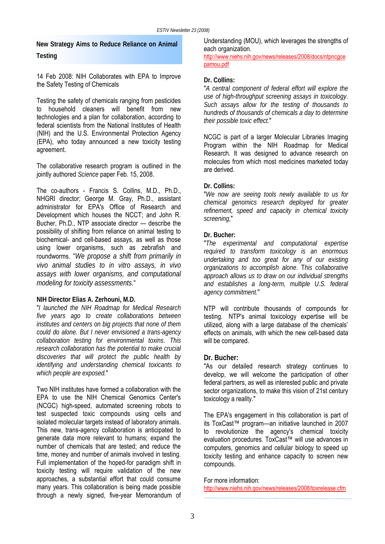**New Strategy Aims to Reduce Reliance on Animal Testing** 

14 Feb 2008: NIH Collaborates with EPA to Improve the Safety Testing of Chemicals

Testing the safety of chemicals ranging from pesticides to household cleaners will benefit from new technologies and a plan for collaboration, according to federal scientists from the National Institutes of Health (NIH) and the U.S. Environmental Protection Agency (EPA), who today announced a new toxicity testing agreement.

The collaborative research program is outlined in the jointly authored *Science* paper Feb. 15, 2008.

The co-authors - Francis S. Collins, M.D., Ph.D., NHGRI director; George M. Gray, Ph.D., assistant administrator for EPA's Office of Research and Development which houses the NCCT; and John R. Bucher, Ph.D., NTP associate director — describe the possibility of shifting from reliance on animal testing to biochemical- and cell-based assays, as well as those using lower organisms, such as zebrafish and roundworms. "*We propose a shift from primarily in vivo animal studies to in vitro assays, in vivo assays with lower organisms, and computational modeling for toxicity assessments.*"

#### **NIH Director Elias A. Zerhouni, M.D.**

"*I launched the NIH Roadmap for Medical Research five years ago to create collaborations between institutes and centers on big projects that none of them could do alone. But I never envisioned a trans-agency collaboration testing for environmental toxins*. *This research collaboration has the potential to make crucial discoveries that will protect the public health by identifying and understanding chemical toxicants to which people are exposed.*"

Two NIH institutes have formed a collaboration with the EPA to use the NIH Chemical Genomics Center's (NCGC) high-speed, automated screening robots to test suspected toxic compounds using cells and isolated molecular targets instead of laboratory animals. This new, trans-agency collaboration is anticipated to generate data more relevant to humans; expand the number of chemicals that are tested; and reduce the time, money and number of animals involved in testing. Full implementation of the hoped-for paradigm shift in toxicity testing will require validation of the new approaches, a substantial effort that could consume many years. This collaboration is being made possible through a newly signed, five-year Memorandum of Understanding (MOU), which leverages the strengths of each organization.

[http://www.niehs.nih.gov/news/releases/2008/docs/ntpncgce](http://www.niehs.nih.gov/news/releases/2008/docs/ntpncgcepamou.pdf) [pamou.pdf](http://www.niehs.nih.gov/news/releases/2008/docs/ntpncgcepamou.pdf)

#### **Dr. Collins:**

"*A central component of federal effort will explore the use of high-throughput screening assays in toxicology*. *Such assays allow for the testing of thousands to hundreds of thousands of chemicals a day to determine their possible toxic effect.*"

NCGC is part of a larger Molecular Libraries Imaging Program within the NIH Roadmap for Medical Research. It was designed to advance research on molecules from which most medicines marketed today are derived.

#### **Dr. Collins:**

"*We now are seeing tools newly available to us for chemical genomics research deployed for greater refinement, speed and capacity in chemical toxicity screening*,"

#### **Dr. Bucher:**

"*The experimental and computational expertise required to transform toxicology is an enormous undertaking and too great for any of our existing organizations to accomplish alone*. T*his collaborative approach allows us to draw on our individual strengths and establishes a long-term, multiple U.S. federal agency commitment.*"

NTP will contribute thousands of compounds for testing. NTP's animal toxicology expertise will be utilized, along with a large database of the chemicals' effects on animals, with which the new cell-based data will be compared.

#### **Dr. Bucher:**

"As our detailed research strategy continues to develop, we will welcome the participation of other federal partners, as well as interested public and private sector organizations, to make this vision of 21st century toxicology a reality."

The EPA's engagement in this collaboration is part of its ToxCast™ program—an initiative launched in 2007 to revolutionize the agency's chemical toxicity evaluation procedures. ToxCast™ will use advances in computers, genomics and cellular biology to speed up toxicity testing and enhance capacity to screen new compounds.

#### For more information:

<http://www.niehs.nih.gov/news/releases/2008/toxrelease.cfm>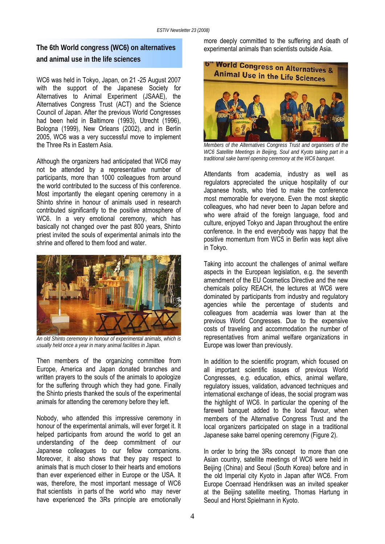# **and animal use in the life sciences**

WC6 was held in Tokyo, Japan, on 21 -25 August 2007 with the support of the Japanese Society for Alternatives to Animal Experiment (JSAAE), the Alternatives Congress Trust (ACT) and the Science Council of Japan. After the previous World Congresses had been held in Baltimore (1993), Utrecht (1996), Bologna (1999), New Orleans (2002), and in Berlin 2005, WC6 was a very successful move to implement the Three Rs in Eastern Asia.

Although the organizers had anticipated that WC6 may not be attended by a representative number of participants, more than 1000 colleagues from around the world contributed to the success of this conference. Most importantly the elegant opening ceremony in a Shinto shrine in honour of animals used in research contributed significantly to the positive atmosphere of WC6. In a very emotional ceremony, which has basically not changed over the past 800 years, Shinto priest invited the souls of experimental animals into the shrine and offered to them food and water.



*An old Shinto ceremony in honour of experimental animals, which is usually held once a year in many animal facilities in Japan.* 

Then members of the organizing committee from Europe, America and Japan donated branches and written prayers to the souls of the animals to apologize for the suffering through which they had gone. Finally the Shinto priests thanked the souls of the experimental animals for attending the ceremony before they left.

Nobody, who attended this impressive ceremony in honour of the experimental animals, will ever forget it. It helped participants from around the world to get an understanding of the deep commitment of our Japanese colleagues to our fellow companions. Moreover, it also shows that they pay respect to animals that is much closer to their hearts and emotions than ever experienced either in Europe or the USA. It was, therefore, the most important message of WC6 that scientists in parts of the world who may never have experienced the 3Rs principle are emotionally

more deeply committed to the suffering and death of<br>**The 6th World congress (WC6) on alternatives experimental animals than scientists outside Asia**.



*Members of the Alternatives Congress Trust and organisers of the WC6 Satellite Meetings in Beijing, Soul and Kyoto taking part in a traditional sake barrel opening ceremony at the WC6 banquet.* 

Attendants from academia, industry as well as regulators appreciated the unique hospitality of our Japanese hosts, who tried to make the conference most memorable for everyone. Even the most skeptic colleagues, who had never been to Japan before and who were afraid of the foreign language, food and culture, enjoyed Tokyo and Japan throughout the entire conference. In the end everybody was happy that the positive momentum from WC5 in Berlin was kept alive in Tokyo.

Taking into account the challenges of animal welfare aspects in the European legislation, e.g. the seventh amendment of the EU Cosmetics Directive and the new chemicals policy REACH, the lectures at WC6 were dominated by participants from industry and regulatory agencies while the percentage of students and colleagues from academia was lower than at the previous World Congresses. Due to the expensive costs of traveling and accommodation the number of representatives from animal welfare organizations in Europe was lower than previously.

In addition to the scientific program, which focused on all important scientific issues of previous World Congresses, e.g. education, ethics, animal welfare, regulatory issues, validation, advanced techniques and international exchange of ideas, the social program was the highlight of WC6. In particular the opening of the farewell banquet added to the local flavour, when members of the Alternative Congress Trust and the local organizers participated on stage in a traditional Japanese sake barrel opening ceremony (Figure 2).

In order to bring the 3Rs concept to more than one Asian country, satellite meetings of WC6 were held in Beijing (China) and Seoul (South Korea) before and in the old Imperial city Kyoto in Japan after WC6. From Europe Coenraad Hendriksen was an invited speaker at the Beijing satellite meeting, Thomas Hartung in Seoul and Horst Spielmann in Kyoto.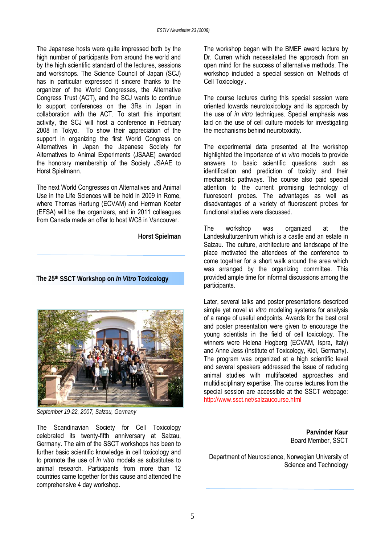The Japanese hosts were quite impressed both by the high number of participants from around the world and by the high scientific standard of the lectures, sessions and workshops. The Science Council of Japan (SCJ) has in particular expressed it sincere thanks to the organizer of the World Congresses, the Alternative Congress Trust (ACT), and the SCJ wants to continue to support conferences on the 3Rs in Japan in collaboration with the ACT. To start this important activity, the SCJ will host a conference in February 2008 in Tokyo. To show their appreciation of the support in organizing the first World Congress on Alternatives in Japan the Japanese Society for Alternatives to Animal Experiments (JSAAE) awarded the honorary membership of the Society JSAAE to Horst Spielmann.

The next World Congresses on Alternatives and Animal Use in the Life Sciences will be held in 2009 in Rome, where Thomas Hartung (ECVAM) and Herman Koeter (EFSA) will be the organizers, and in 2011 colleagues from Canada made an offer to host WC8 in Vancouver.

**Horst Spielman** 

**The 25th SSCT Workshop on** *In Vitro* **Toxicology** 



*September 19-22, 2007, Salzau, Germany* 

The Scandinavian Society for Cell Toxicology celebrated its twenty-fifth anniversary at Salzau, Germany. The aim of the SSCT workshops has been to further basic scientific knowledge in cell toxicology and to promote the use of *in vitro* models as substitutes to animal research. Participants from more than 12 countries came together for this cause and attended the comprehensive 4 day workshop.

The workshop began with the BMEF award lecture by Dr. Curren which necessitated the approach from an open mind for the success of alternative methods. The workshop included a special session on 'Methods of Cell Toxicology'.

The course lectures during this special session were oriented towards neurotoxicology and its approach by the use of *in vitro* techniques. Special emphasis was laid on the use of cell culture models for investigating the mechanisms behind neurotoxicity.

The experimental data presented at the workshop highlighted the importance of *in vitro* models to provide answers to basic scientific questions such as identification and prediction of toxicity and their mechanistic pathways. The course also paid special attention to the current promising technology of fluorescent probes. The advantages as well as disadvantages of a variety of fluorescent probes for functional studies were discussed.

The workshop was organized at the Landeskulturzentrum which is a castle and an estate in Salzau. The culture, architecture and landscape of the place motivated the attendees of the conference to come together for a short walk around the area which was arranged by the organizing committee. This provided ample time for informal discussions among the participants.

Later, several talks and poster presentations described simple yet novel *in vitro* modeling systems for analysis of a range of useful endpoints. Awards for the best oral and poster presentation were given to encourage the young scientists in the field of cell toxicology. The winners were Helena Hogberg (ECVAM, Ispra, Italy) and Anne Jess (Institute of Toxicology, Kiel, Germany). The program was organized at a high scientific level and several speakers addressed the issue of reducing animal studies with multifaceted approaches and multidisciplinary expertise. The course lectures from the special session are accessible at the SSCT webpage: <http://www.ssct.net/salzaucourse.html>

> **Parvinder Kaur**  Board Member, SSCT

Department of Neuroscience, Norwegian University of Science and Technology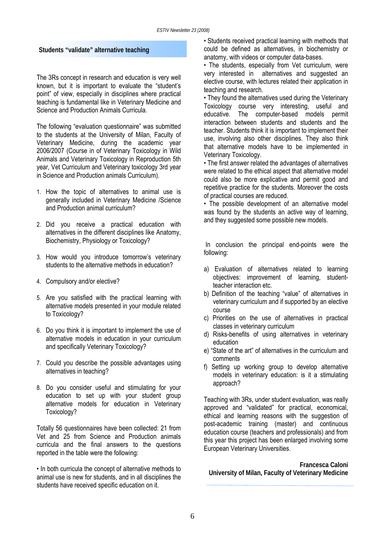#### **Students "validate" alternative teaching**

The 3Rs concept in research and education is very well known, but it is important to evaluate the "student's point" of view, especially in disciplines where practical teaching is fundamental like in Veterinary Medicine and Science and Production Animals Curricula.

The following "evaluation questionnaire" was submitted to the students at the University of Milan, Faculty of Veterinary Medicine, during the academic year 2006/2007 (Course in of Veterinary Toxicology in Wild Animals and Veterinary Toxicology in Reproduction 5th year, Vet Curriculum and Veterinary toxicology 3rd year in Science and Production animals Curriculum).

- 1. How the topic of alternatives to animal use is generally included in Veterinary Medicine /Science and Production animal curriculum?
- 2. Did you receive a practical education with alternatives in the different disciplines like Anatomy, Biochemistry, Physiology or Toxicology?
- 3. How would you introduce tomorrow's veterinary students to the alternative methods in education?
- 4. Compulsory and/or elective?
- 5. Are you satisfied with the practical learning with alternative models presented in your module related to Toxicology?
- 6. Do you think it is important to implement the use of alternative models in education in your curriculum and specifically Veterinary Toxicology?
- 7. Could you describe the possible advantages using alternatives in teaching?
- 8. Do you consider useful and stimulating for your education to set up with your student group alternative models for education in Veterinary Toxicology?

Totally 56 questionnaires have been collected: 21 from Vet and 25 from Science and Production animals curricula and the final answers to the questions reported in the table were the following:

• In both curricula the concept of alternative methods to animal use is new for students, and in all disciplines the students have received specific education on it.

• Students received practical learning with methods that could be defined as alternatives, in biochemistry or anatomy, with videos or computer data-bases.

• The students, especially from Vet curriculum, were very interested in alternatives and suggested an elective course, with lectures related their application in teaching and research.

• They found the alternatives used during the Veterinary Toxicology course very interesting, useful and educative. The computer-based models permit interaction between students and students and the teacher. Students think it is important to implement their use, involving also other disciplines. They also think that alternative models have to be implemented in Veterinary Toxicology.

• The first answer related the advantages of alternatives were related to the ethical aspect that alternative model could also be more explicative and permit good and repetitive practice for the students. Moreover the costs of practical courses are reduced.

• The possible development of an alternative model was found by the students an active way of learning, and they suggested some possible new models.

 In conclusion the principal end-points were the following:

- a) Evaluation of alternatives related to learning objectives: improvement of learning, studentteacher interaction etc.
- b) Definition of the teaching "value" of alternatives in veterinary curriculum and if supported by an elective course
- c) Priorities on the use of alternatives in practical classes in veterinary curriculum
- d) Risks-benefits of using alternatives in veterinary education
- e) "State of the art" of alternatives in the curriculum and comments
- f) Setting up working group to develop alternative models in veterinary education: is it a stimulating approach?

Teaching with 3Rs, under student evaluation, was really approved and "validated" for practical, economical, ethical and learning reasons with the suggestion of post-academic training (master) and continuous education course (teachers and professionals) and from this year this project has been enlarged involving some European Veterinary Universities.

**Francesca Caloni University of Milan, Faculty of Veterinary Medicine**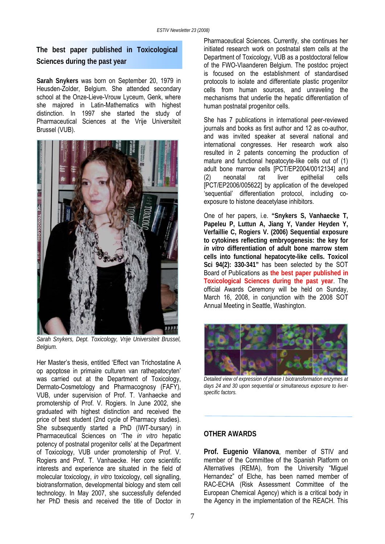### **The best paper published in Toxicological Sciences during the past year**

**Sarah Snykers** was born on September 20, 1979 in Heusden-Zolder, Belgium. She attended secondary school at the Onze-Lieve-Vrouw Lyceum, Genk, where she majored in Latin-Mathematics with highest distinction. In 1997 she started the study of Pharmaceutical Sciences at the Vrije Universiteit Brussel (VUB).



*Sarah Snykers, Dept. Toxicology, Vrije Universiteit Brussel, Belgium.* 

Her Master's thesis, entitled 'Effect van Trichostatine A op apoptose in primaire culturen van rathepatocyten' was carried out at the Department of Toxicology, Dermato-Cosmetology and Pharmacognosy (FAFY), VUB, under supervision of Prof. T. Vanhaecke and promotership of Prof. V. Rogiers. In June 2002, she graduated with highest distinction and received the price of best student (2nd cycle of Pharmacy studies). She subsequently started a PhD (IWT-bursary) in Pharmaceutical Sciences on 'The *in vitro* hepatic potency of postnatal progenitor cells' at the Department of Toxicology, VUB under promotership of Prof. V. Rogiers and Prof. T. Vanhaecke. Her core scientific interests and experience are situated in the field of molecular toxicology, *in vitro* toxicology, cell signalling, biotransformation, developmental biology and stem cell technology. In May 2007, she successfully defended her PhD thesis and received the title of Doctor in

Pharmaceutical Sciences. Currently, she continues her initiated research work on postnatal stem cells at the Department of Toxicology, VUB as a postdoctoral fellow of the FWO-Vlaanderen Belgium. The postdoc project is focused on the establishment of standardised protocols to isolate and differentiate plastic progenitor cells from human sources, and unraveling the mechanisms that underlie the hepatic differentiation of human postnatal progenitor cells.

She has 7 publications in international peer-reviewed journals and books as first author and 12 as co-author, and was invited speaker at several national and international congresses. Her research work also resulted in 2 patents concerning the production of mature and functional hepatocyte-like cells out of (1) adult bone marrow cells [PCT/EP2004/0012134] and (2) neonatal rat liver epithelial cells [PCT/EP2006/005622] by application of the developed 'sequential' differentiation protocol, including coexposure to histone deacetylase inhibitors.

One of her papers, i.e. **"Snykers S, Vanhaecke T, Papeleu P, Luttun A, Jiang Y, Vander Heyden Y, Verfaillie C, Rogiers V. (2006) Sequential exposure to cytokines reflecting embryogenesis: the key for**  *in vitro* **differentiation of adult bone marrow stem cells into functional hepatocyte-like cells. Toxicol Sci 94(2): 330-341"** has been selected by the SOT Board of Publications as **the best paper published in Toxicological Sciences during the past year**. The official Awards Ceremony will be held on Sunday, March 16, 2008, in conjunction with the 2008 SOT Annual Meeting in Seattle, Washington.



*Detailed view of expression of phase I biotransformation enzymes at days 24 and 30 upon sequential or simultaneous exposure to liverspecific factors.* 

#### **OTHER AWARDS**

**Prof. Eugenio Vilanova**, member of STIV and member of the Committee of the Spanish Platform on Alternatives (REMA), from the University "Miguel Hernandez" of Elche, has been named member of RAC-ECHA (Risk Assessment Committee of the European Chemical Agency) which is a critical body in the Agency in the implementation of the REACH. This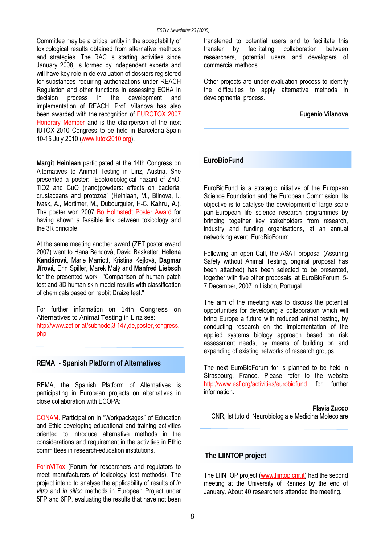Committee may be a critical entity in the acceptability of toxicological results obtained from alternative methods and strategies. The RAC is starting activities since January 2008, is formed by independent experts and will have key role in de evaluation of dossiers registered for substances requiring authorizations under REACH Regulation and other functions in assessing ECHA in decision process in the development and implementation of REACH. Prof. Vilanova has also been awarded with the recognition of EUROTOX 2007 Honorary Member and is the chairperson of the next IUTOX-2010 Congress to be held in Barcelona-Spain 10-15 July 2010 [\(www.iutox2010.org](http://www.iutox2010.org/)).

**Margit Heinlaan** participated at the 14th Congress on Alternatives to Animal Testing in Linz, Austria. She presented a poster: "Ecotoxicological hazard of ZnO, TiO2 and CuO (nano)powders: effects on bacteria, crustaceans and protozoa" (Heinlaan, M., Blinova, I., Ivask, A., Mortimer, M., Dubourguier, H-C. **Kahru, A**.). The poster won 2007 Bo Holmstedt Poster Award for having shown a feasible link between toxicology and the 3R principle.

At the same meeting another award (ZET poster award 2007) went to Hana Bendová, David Basketter, **Helena Kandárová**, Marie Marriott, Kristina Kejlová, **Dagmar Jírová**, Erin Spiller, Marek Malý and **Manfred Liebsch** for the presented work "Comparison of human patch test and 3D human skin model results with classification of chemicals based on rabbit Draize test."

For further information on 14th Congress on Alternatives to Animal Testing in Linz see: [http://www.zet.or.at/subnode,3,147,de,poster,kongress.](http://www.zet.or.at/subnode,3,147,de,poster,kongress.php) [php](http://www.zet.or.at/subnode,3,147,de,poster,kongress.php)

REMA, the Spanish Platform of Alternatives is participating in European projects on alternatives in close collaboration with ECOPA:

CONAM. Participation in "Workpackages" of Education and Ethic developing educational and training activities oriented to introduce alternative methods in the considerations and requirement in the activities in Ethic committees in research-education institutions.

ForInViTox (Forum for researchers and regulators to meet manufacturers of toxicology test methods). The project intend to analyse the applicability of results of *in vitro* and *in silico* methods in European Project under 5FP and 6FP, evaluating the results that have not been

transferred to potential users and to facilitate this transfer by facilitating collaboration between researchers, potential users and developers of commercial methods.

Other projects are under evaluation process to identify the difficulties to apply alternative methods in developmental process.

**Eugenio Vilanova** 

#### **EuroBioFund**

EuroBioFund is a strategic initiative of the European Science Foundation and the European Commission. Its objective is to catalyse the development of large scale pan-European life science research programmes by bringing together key stakeholders from research, industry and funding organisations, at an annual networking event, EuroBioForum.

Following an open Call, the ASAT proposal (Assuring Safety without Animal Testing, original proposal has been attached) has been selected to be presented, together with five other proposals, at EuroBioForum, 5- 7 December, 2007 in Lisbon, Portugal.

The aim of the meeting was to discuss the potential opportunities for developing a collaboration which will bring Europe a future with reduced animal testing, by conducting research on the implementation of the applied systems biology approach based on risk assessment needs, by means of building on and expanding of existing networks of research groups.

**REMA - Spanish Platform of Alternatives The next EuroBioForum for is planned to be held in** Strasbourg, France. Please refer to the website <http://www.esf.org/activities/eurobiofund>for further information.

> **Flavia Zucco**  CNR, Istituto di Neurobiologia e Medicina Molecolare

#### **The LIINTOP project**

The LIINTOP project ([www.liintop.cnr.it](http://www.liintop.cnr.it/)) had the second meeting at the University of Rennes by the end of January. About 40 researchers attended the meeting.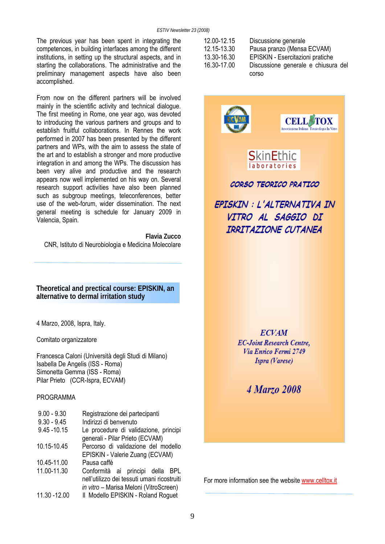The previous year has been spent in integrating the competences, in building interfaces among the different institutions, in setting up the structural aspects, and in starting the collaborations. The administrative and the preliminary management aspects have also been accomplished.

From now on the different partners will be involved mainly in the scientific activity and technical dialogue. The first meeting in Rome, one year ago, was devoted to introducing the various partners and groups and to establish fruitful collaborations. In Rennes the work performed in 2007 has been presented by the different partners and WPs, with the aim to assess the state of the art and to establish a stronger and more productive integration in and among the WPs. The discussion has been very alive and productive and the research appears now well implemented on his way on. Several research support activities have also been planned such as subgroup meetings, teleconferences, better use of the web-forum, wider dissemination. The next general meeting is schedule for January 2009 in Valencia, Spain.

**Flavia Zucco**  CNR, Istituto di Neurobiologia e Medicina Molecolare

**Theoretical and prectical course: EPISKIN, an alternative to dermal irritation study**

4 Marzo, 2008, Ispra, Italy.

Comitato organizzatore

Francesca Caloni (Università degli Studi di Milano) Isabella De Angelis (ISS - Roma) Simonetta Gemma (ISS - Roma) Pilar Prieto (CCR-Ispra, ECVAM)

#### PROGRAMMA

| $9.00 - 9.30$  | Registrazione dei partecipanti              |  |  |  |
|----------------|---------------------------------------------|--|--|--|
| $9.30 - 9.45$  | Indirizzi di benvenuto                      |  |  |  |
| $9.45 - 10.15$ | Le procedure di validazione, principi       |  |  |  |
|                | generali - Pilar Prieto (ECVAM)             |  |  |  |
| 10.15-10.45    | Percorso di validazione del modello         |  |  |  |
|                | EPISKIN - Valerie Zuang (ECVAM)             |  |  |  |
| 10.45-11.00    | Pausa caffè                                 |  |  |  |
| 11.00-11.30    | Conformità ai principi della BPL            |  |  |  |
|                | nell'utilizzo dei tessuti umani ricostruiti |  |  |  |
|                | in vitro - Marisa Meloni (VitroScreen)      |  |  |  |
| 11.30 - 12.00  | II Modello EPISKIN - Roland Roguet          |  |  |  |

| 12.00-12.15 | Discussione generale             |  |  |  |
|-------------|----------------------------------|--|--|--|
| 12.15-13.30 | Pausa pranzo (Mensa ECVAM)       |  |  |  |
| 13.30-16.30 | EPISKIN - Esercitazioni pratiche |  |  |  |
| 16.30-17.00 | Discussione generale e chiusura  |  |  |  |
|             | corso                            |  |  |  |

chiusura del



4 Marzo 2008

For more information see the website [www.celltox.it](http://www.celltox.it/)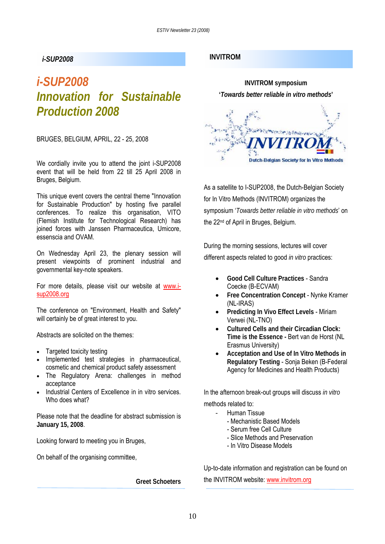# *i-SUP2008 Innovation for Sustainable Production 2008*

BRUGES, BELGIUM, APRIL, 22 - 25, 2008

We cordially invite you to attend the joint i-SUP2008 event that will be held from 22 till 25 April 2008 in Bruges, Belgium.

This unique event covers the central theme "Innovation for Sustainable Production" by hosting five parallel conferences. To realize this organisation, VITO (Flemish Institute for Technological Research) has joined forces with Janssen Pharmaceutica, Umicore, essenscia and OVAM.

On Wednesday April 23, the plenary session will present viewpoints of prominent industrial and governmental key-note speakers.

For more details, please visit our website at [www.i](http://www.i-sup2008.org/)[sup2008.org](http://www.i-sup2008.org/)

The conference on "Environment, Health and Safety" will certainly be of great interest to you.

Abstracts are solicited on the themes:

- Targeted toxicity testing
- Implemented test strategies in pharmaceutical, cosmetic and chemical product safety assessment
- The Regulatory Arena: challenges in method acceptance
- Industrial Centers of Excellence in in vitro services. Who does what?

Please note that the deadline for abstract submission is **January 15, 2008**.

Looking forward to meeting you in Bruges,

On behalf of the organising committee,

**Greet Schoeters** 

#### *i-SUP2008* **INVITROM**



As a satellite to I-SUP2008, the Dutch-Belgian Society for In Vitro Methods (INVITROM) organizes the symposium '*Towards better reliable in vitro methods*' on the 22<sup>nd</sup> of April in Bruges, Belgium.

During the morning sessions, lectures will cover different aspects related to good *in vitro* practices:

- **Good Cell Culture Practices** Sandra Coecke (B-ECVAM)
- **Free Concentration Concept** Nynke Kramer (NL-IRAS)
- **Predicting In Vivo Effect Levels** Miriam Verwei (NL-TNO)
- **Cultured Cells and their Circadian Clock: Time is the Essence -** Bert van de Horst (NL Erasmus University)
- **Acceptation and Use of In Vitro Methods in Regulatory Testing** - Sonja Beken (B-Federal Agency for Medicines and Health Products)

In the afternoon break-out groups will discuss *in vitro*

methods related to:

- Human Tissue
	- Mechanistic Based Models
	- Serum free Cell Culture
	- Slice Methods and Preservation
	- In Vitro Disease Models

Up-to-date information and registration can be found on

the INVITROM website: [www.invitrom.org](http://www.invitrom.org/)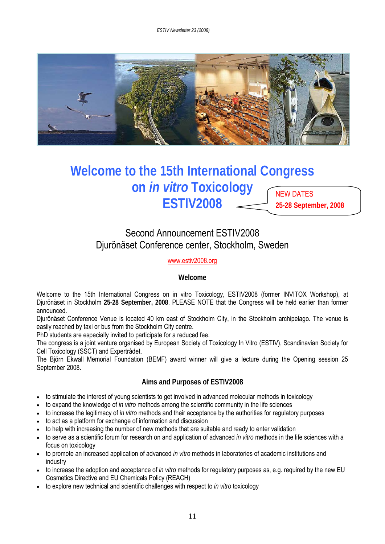*ESTIV Newsletter 23 (2008)* 



### **Welcome to the 15th International Congress on** *in vitro* **Toxicology ESTIV2008**  NEW DATES **25-28 September, 2008**

## Second Announcement ESTIV2008 Djurönäset Conference center, Stockholm, Sweden

#### [www.estiv2008.org](http://www.estiv2008.org/)

#### **Welcome**

Welcome to the 15th International Congress on in vitro Toxicology, ESTIV2008 (former INVITOX Workshop), at Djurönäset in Stockholm **25-28 September, 2008**. PLEASE NOTE that the Congress will be held earlier than former announced.

Djurönäset Conference Venue is located 40 km east of Stockholm City, in the Stockholm archipelago. The venue is easily reached by taxi or bus from the Stockholm City centre.

PhD students are especially invited to participate for a reduced fee.

The congress is a joint venture organised by European Society of Toxicology In Vitro (ESTIV), Scandinavian Society for Cell Toxicology (SSCT) and Expertrådet.

The Björn Ekwall Memorial Foundation (BEMF) award winner will give a lecture during the Opening session 25 September 2008.

#### **Aims and Purposes of ESTIV2008**

- to stimulate the interest of young scientists to get involved in advanced molecular methods in toxicology
- to expand the knowledge of *in vitro* methods among the scientific community in the life sciences
- to increase the legitimacy of *in vitro* methods and their acceptance by the authorities for regulatory purposes
- to act as a platform for exchange of information and discussion
- to help with increasing the number of new methods that are suitable and ready to enter validation
- to serve as a scientific forum for research on and application of advanced *in vitro* methods in the life sciences with a focus on toxicology
- to promote an increased application of advanced *in vitro* methods in laboratories of academic institutions and industry
- to increase the adoption and acceptance of *in vitro* methods for regulatory purposes as, e.g. required by the new EU Cosmetics Directive and EU Chemicals Policy (REACH)
- to explore new technical and scientific challenges with respect to *in vitro* toxicology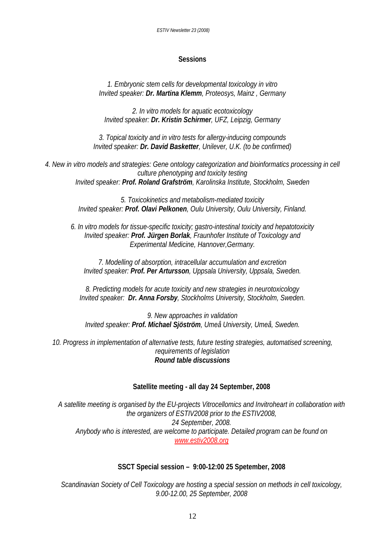#### **Sessions**

*1. Embryonic stem cells for developmental toxicology in vitro Invited speaker: Dr. Martina Klemm, Proteosys, Mainz , Germany* 

*2. In vitro models for aquatic ecotoxicology Invited speaker: Dr. Kristin Schirmer, UFZ, Leipzig, Germany* 

*3. Topical toxicity and in vitro tests for allergy-inducing compounds Invited speaker: Dr. David Basketter, Unilever, U.K. (to be confirmed)* 

*4. New in vitro models and strategies: Gene ontology categorization and bioinformatics processing in cell culture phenotyping and toxicity testing Invited speaker: Prof. Roland Grafström, Karolinska Institute, Stockholm, Sweden* 

> *5. Toxicokinetics and metabolism-mediated toxicity Invited speaker: Prof. Olavi Pelkonen, Oulu University, Oulu University, Finland.*

*6. In vitro models for tissue-specific toxicity; gastro-intestinal toxicity and hepatotoxicity Invited speaker: Prof. Jürgen Borlak, Fraunhofer Institute of Toxicology and Experimental Medicine, Hannover,Germany.* 

*7. Modelling of absorption, intracellular accumulation and excretion Invited speaker: Prof. Per Artursson, Uppsala University, Uppsala, Sweden.* 

*8. Predicting models for acute toxicity and new strategies in neurotoxicology Invited speaker: Dr. Anna Forsby, Stockholms University, Stockholm, Sweden.* 

*9. New approaches in validation Invited speaker: Prof. Michael Sjöström, Umeå University, Umeå, Sweden.* 

*10. Progress in implementation of alternative tests, future testing strategies, automatised screening, requirements of legislation Round table discussions* 

#### **Satellite meeting - all day 24 September, 2008**

*A satellite meeting is organised by the EU-projects Vitrocellomics and Invitroheart in collaboration with the organizers of ESTIV2008 prior to the ESTIV2008, 24 September, 2008. Anybody who is interested, are welcome to participate. Detailed program can be found on [www.estiv2008.org](http://www.estiv2008.org/)*

#### **SSCT Special session – 9:00-12:00 25 Spetember, 2008**

*Scandinavian Society of Cell Toxicology are hosting a special session on methods in cell toxicology, 9.00-12.00, 25 September, 2008*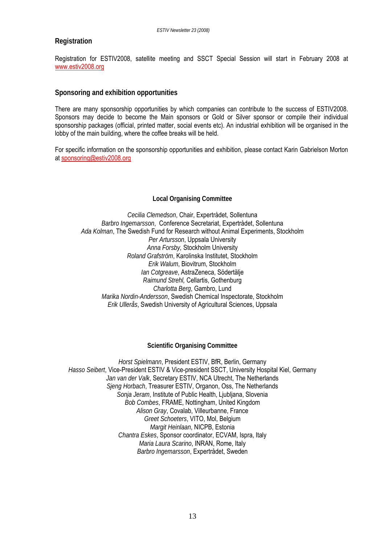#### **Registration**

Registration for ESTIV2008, satellite meeting and SSCT Special Session will start in February 2008 at [www.estiv2008.org](http://www.estiv2008.org/)

#### **Sponsoring and exhibition opportunities**

There are many sponsorship opportunities by which companies can contribute to the success of ESTIV2008. Sponsors may decide to become the Main sponsors or Gold or Silver sponsor or compile their individual sponsorship packages (official, printed matter, social events etc). An industrial exhibition will be organised in the lobby of the main building, where the coffee breaks will be held.

For specific information on the sponsorship opportunities and exhibition, please contact Karin Gabrielson Morton at [sponsoring@estiv2008.org](mailto:sponsoring@estiv2008.org)

#### **Local Organising Committee**

*Cecilia Clemedson*, Chair, Expertrådet, Sollentuna *Barbro Ingemarsson*, Conference Secretariat, Expertrådet, Sollentuna *Ada Kolman*, The Swedish Fund for Research without Animal Experiments, Stockholm *Per Artursson*, Uppsala University *Anna Forsby,* Stockholm University *Roland Grafström*, Karolinska Institutet, Stockholm *Erik Walum*, Biovitrum, Stockholm *Ian Cotgreave*, AstraZeneca, Södertälje *Raimund Strehl,* Cellartis, Gothenburg *Charlotta Berg*, Gambro, Lund *Marika Nordin-Andersson*, Swedish Chemical Inspectorate, Stockholm *Erik Ullerås*, Swedish University of Agricultural Sciences, Uppsala

#### **Scientific Organising Committee**

*Horst Spielmann*, President ESTIV, BfR, Berlin, Germany *Hasso Seibert*, Vice-President ESTIV & Vice-president SSCT, University Hospital Kiel, Germany *Jan van der Valk*, Secretary ESTIV, NCA Utrecht, The Netherlands *Sjeng Horbach*, Treasurer ESTIV, Organon, Oss, The Netherlands *Sonja Jeram*, Institute of Public Health, Ljubljana, Slovenia *Bob Combes*, FRAME, Nottingham, United Kingdom *Alison Gray*, Covalab, Villeurbanne, France *Greet Schoeters*, VITO, Mol, Belgium *Margit Heinlaan*, NICPB, Estonia *Chantra Eskes*, Sponsor coordinator, ECVAM, Ispra, Italy *Maria Laura Scarino*, INRAN, Rome, Italy *Barbro Ingemarsson*, Expertrådet, Sweden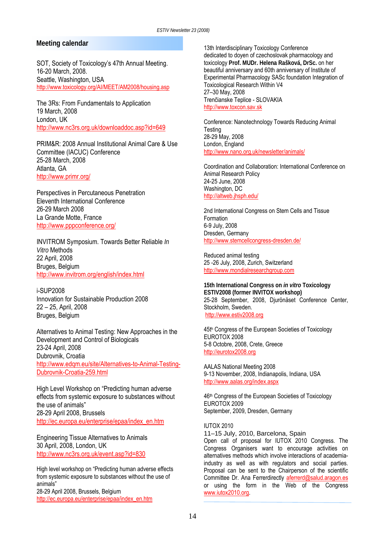#### **Meeting calendar**

SOT, Society of Toxicology's 47th Annual Meeting. 16-20 March, 2008. Seattle, Washington, USA <http://www.toxicology.org/AI/MEET/AM2008/housing.asp>

The 3Rs: From Fundamentals to Application 19 March, 2008 London, UK <http://www.nc3rs.org.uk/downloaddoc.asp?id=649>

PRIM&R: 2008 Annual Institutional Animal Care & Use Committee (IACUC) Conference 25-28 March, 2008 Atlanta, GA <http://www.primr.org/>

Perspectives in Percutaneous Penetration Eleventh International Conference 26-29 March 2008 La Grande Motte, France <http://www.pppconference.org/>

INVITROM Symposium. Towards Better Reliable *In Vitro* Methods 22 April, 2008 Bruges, Belgium <http://www.invitrom.org/english/index.html>

i-SUP2008 Innovation for Sustainable Production 2008 22 – 25, April, 2008 Bruges, Belgium

Alternatives to Animal Testing: New Approaches in the Development and Control of Biologicals 23-24 April, 2008 Dubrovnik, Croatia [http://www.edqm.eu/site/Alternatives-to-Animal-Testing-](http://www.edqm.eu/site/Alternatives-to-Animal-Testing-Dubrovnik-Croatia-259.html)[Dubrovnik-Croatia-259.html](http://www.edqm.eu/site/Alternatives-to-Animal-Testing-Dubrovnik-Croatia-259.html)

High Level Workshop on "Predicting human adverse effects from systemic exposure to substances without the use of animals" 28-29 April 2008, Brussels [http://ec.europa.eu/enterprise/epaa/index\\_en.htm](http://ec.europa.eu/enterprise/epaa/index_en.htm)

Engineering Tissue Alternatives to Animals 30 April, 2008, London, UK <http://www.nc3rs.org.uk/event.asp?id=830>

High level workshop on "Predicting human adverse effects from systemic exposure to substances without the use of animals" 28-29 April 2008, Brussels, Belgium [http://ec.europa.eu/enterprise/epaa/index\\_en.htm](http://ec.europa.eu/enterprise/epaa/index_en.htm)

13th Interdisciplinary Toxicology Conference dedicated to doyen of czechoslovak pharmacology and toxicology **Prof. MUDr. Helena Rašková, DrSc.** on her beautiful anniversary and 60th anniversary of Institute of Experimental Pharmacology SASc foundation Integration of Toxicological Research Within V4 27–30 May, 2008 Trenčianske Teplice - SLOVAKIA [http://www.toxcon.sav.sk](http://www.toxcon.sav.sk/)

Conference: Nanotechnology Towards Reducing Animal **Testing** 28-29 May, 2008 London, England <http://www.nano.org.uk/newsletter/animals/>

Coordination and Collaboration: International Conference on Animal Research Policy 24-25 June, 2008 Washington, DC <http://altweb.jhsph.edu/>

2nd International Congress on Stem Cells and Tissue Formation 6-9 July, 2008 Dresden, Germany <http://www.stemcellcongress-dresden.de/>

Reduced animal testing 25 -26 July, 2008, Zurich, Switzerland [http://www.mondialresearchgroup.com](http://www.mondialresearchgroup.com/)

**15th International Congress on** *in vitro* **Toxicology ESTIV2008 (former INVITOX workshop)**  25-28 September, 2008, Djurönäset Conference Center, Stockholm, Sweden. [http://www.estiv2008.org](http://www.estiv2008.org/)

45th Congress of the European Societies of Toxicology EUROTOX 2008 5-8 Octobre, 2008, Crete, Greece [http://eurotox2008.org](http://eurotox2008.org/)

AALAS National Meeting 2008 9-13 November, 2008, Indianapolis, Indiana, USA <http://www.aalas.org/index.aspx>

46th Congress of the European Societies of Toxicology EUROTOX 2009 September, 2009, Dresden, Germany

IUTOX 2010

11–15 July, 2010, Barcelona, Spain

Open call of proposal for IUTOX 2010 Congress. The Congress Organisers want to encourage activities on alternatives methods which involve interactions of academiaindustry as well as with regulators and social parties. Proposal can be sent to the Chairperson of the scientific Committee Dr. Ana Ferrerdirectly aferrerd@salud.aragon.es or using the form in the Web of the Congress [www.iutox2010.org](http://www.iutox2010.org/).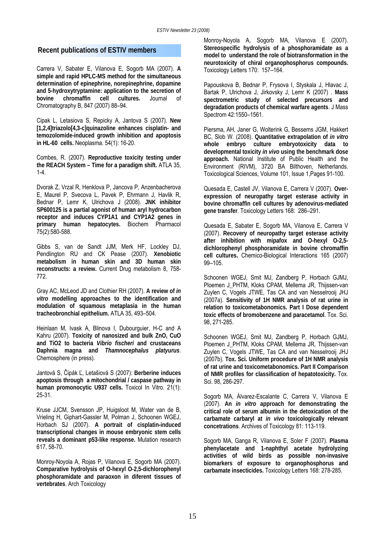#### **Recent publications of ESTIV members**

Carrera V, Sabater E, Vilanova E, Sogorb MA (2007). **A simple and rapid HPLC-MS method for the simultaneous determination of epinephrine, norepinephrine, dopamine and 5-hydroxytryptamine: application to the secretion of bovine chromaffin cell cultures.** Journal of Chromatography B, 847 (2007) 88–94.

Cipak L, Letasiova S, Repicky A, Jantova S (2007). **New [1,2,4]triazolo[4,3-c]quinazoline enhances cisplatin- and temozolomide-induced growth inhibition and apoptosis in HL-60 cells.** Neoplasma. 54(1): 16-20.

Combes, R. (2007). **Reproductive toxicity testing under the REACH System – Time for a paradigm shift.** ATLA 35, 1-4.

Dvorak Z, Vrzal R, Henklova P, Jancova P, Anzenbacherova E, Maurel P, Svecova L, Pavek P, Ehrmann J, Havlik R, Bednar P, Lemr K, Ulrichova J (2008). **JNK inhibitor SP600125 is a partial agonist of human aryl hydrocarbon receptor and induces CYP1A1 and CYP1A2 genes in primary human hepatocytes.** Biochem Pharmacol 75(2):580-588.

Gibbs S, van de Sandt JJM, Merk HF, Lockley DJ, Pendlington RU and CK Pease (2007). **Xenobiotic metabolism in human skin and 3D human skin reconstructs: a review.** Current Drug metabolism 8, 758- 772.

Gray AC, McLeod JD and Clothier RH (2007). **A review of** *in vitro* **modelling approaches to the identification and modulation of squamous metaplasia in the human tracheobronchial epithelium.** ATLA 35, 493–504.

Heinlaan M, Ivask A, Blinova I, Dubourguier, H-C and A Kahru (2007). **Toxicity of nanosized and bulk ZnO, CuO and TiO2 to bacteria** *Vibrio fischeri* **and crustaceans Daphnia magna and** *Thamnocephalus platyurus*. Chemosphere (in press).

Jantová S, Čipák Ľ, Letašiová S (2007): **Berberine induces apoptosis through a mitochondrial / caspase pathway in human promonocytic U937 cells.** Toxicol In Vitro. 21(1): 25-31.

Kruse JJCM, Svensson JP, Huigsloot M, Water van de B, Vrieling H, Giphart-Gassler M, Polman J, Schoonen WGEJ, Horbach SJ (2007). **A portrait of cisplatin-induced transcriptional changes in mouse embryonic stem cells reveals a dominant p53-like response.** Mutation research 617, 58-70.

Monroy-Noyola A, Rojas P, Vilanova E, Sogorb MA (2007). **Comparative hydrolysis of O-hexyl O-2,5-dichlorophenyl phosphoramidate and paraoxon in diferent tissues of vertebrates**. Arch Toxicology

Monroy-Noyola A, Sogorb MA, Vilanova E (2007). **Stereospecific hydrolysis of a phosphoramidate as a model to understand the role of biotransformation in the neurotoxicity of chiral organophosphorus compounds.** Toxicology Letters 170: 157–164.

Papouskova B, Bednar P, Frysova I, Styskala J, Hlavac J, Bartak P, Ulrichova J, Jirkovsky J, Lemr K (2007) . **Mass spectrometric study of selected precursors and degradation products of chemical warfare agents**. J Mass Spectrom 42:1550–1561.

Piersma, AH, Janer G, Wolterink G, Bessems JGM, Hakkert BC, Slob W. (2008). **Quantitative extrapolation of** *in vitro* **whole embryo culture embryotoxicity data to developmental toxicity** *in vivo* **using the benchmark dose approach.** National Institute of Public Health and the Environment (RIVM), 3720 BA Bilthoven, Netherlands. Toxicological Sciences, Volume 101, Issue 1,Pages 91-100.

Quesada E, Castell JV, Vilanova E, Carrera V (2007). **Overexpression of neuropathy target esterase activity in bovine chromaffin cell cultures by adenovirus-mediated gene transfer**. Toxicology Letters 168: 286–291.

Quesada E, Sabater E, Sogorb MA, Vilanova E, Carrera V (2007). **Recovery of neuropathy target esterase activity after inhibition with mipafox and O-hexyl O-2,5 dichlorophenyl phosphoramidate in bovine chromaffin cell cultures.** Chemico-Biological Interactions 165 (2007) 99–105.

Schoonen WGEJ, Smit MJ, Zandberg P, Horbach GJMJ, Ploemen J\_PHTM, Kloks CPAM, Mellema JR, Thijssen-van Zuylen C, Vogels JTWE, Tas CA and van Nesselrooij JHJ (2007a). **Sensitivity of 1H NMR analysis of rat urine in relation to toxicometabonomics. Part I Dose dependent toxic effects of bromobenzene and paracetamol**. Tox. Sci. 98, 271-285.

Schoonen WGEJ, Smit MJ, Zandberg P, Horbach GJMJ, Ploemen J\_PHTM, Kloks CPAM, Mellema JR, Thijssen-van Zuylen C, Vogels JTWE, Tas CA and van Nesselrooij JHJ (2007b). **Tox. Sci. Uniform procedure of 1H NMR analysis of rat urine and toxicometabonomics. Part II Comparison of NMR profiles for classification of hepatotoxicity.** Tox. Sci. 98, 286-297.

Sogorb MA, Álvarez-Escalante C, Carrera V, Vilanova E (2007). **An** *in vitro* **approach for demonstrating the critical role of serum albumin in the detoxication of the carbamate carbaryl at** *in vivo* **toxicologically relevant concetrations**. Archives of Toxicology 81: 113-119.

Sogorb MA, Ganga R, Vilanova E, Soler F (2007). **Plasma phenylacetate and 1-naphthyl acetate hydrolyzing activities of wild birds as possible non-invasive biomarkers of exposure to organophosphorus and carbamate insecticides.** Toxicology Letters 168: 278-285.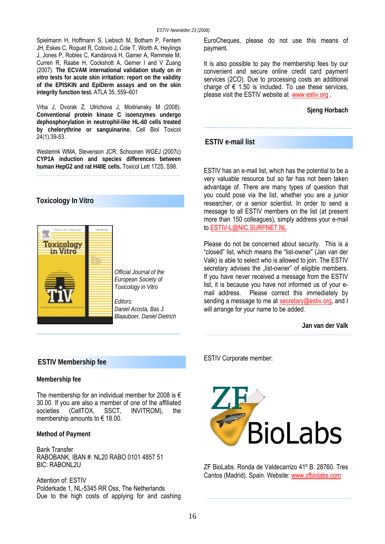Spielmann H, Hoffmann S, Liebsch M, Botham P, Fentem JH, Eskes C, Roguet R, Cotovio J, Cole T, Worth A, Heylings J, Jones P, Robles C, Kandárová H, Gamer A, Remmele M, Curren R, Raabe H, Cockshott A, Gerner I and V Zuang (2007). **The ECVAM international validation study on** *in vitro* **tests for acute skin irritation: report on the validity of the EPISKIN and EpiDerm assays and on the skin integrity function test.** ATLA 35, 559–601

Vrba J, Dvorak Z, Ulrichova J, Modriansky M (2008). **Conventional protein kinase C isoenzymes undergo dephosphorylation in neutrophil-like HL-60 cells treated by chelerythrine or sanguinarine.** Cell Biol Toxicol 24(1):39-53.

Westerink WMA, Stevenson JCR, Schoonen WGEJ (2007c) **CYP1A induction and species differences between human HepG2 and rat H4IIE cells.** Toxicol Lett 172S, S98.

#### **Toxicology In Vitro**



*Official Journal of the European Society of Toxicology in Vitro* 

*Daniel Acosta, Bas J. Blaauboer, Daniel Dietrich* 

EuroCheques, please do not use this means of payment.

It is also possible to pay the membership fees by our convenient and secure online credit card payment services (2CO). Due to processing costs an additional charge of  $\epsilon$  1.50 is included. To use these services, please visit the ESTIV website at [www.estiv.org](http://www.estiv.org/) .

**Sjeng Horbach** 

#### **ESTIV e-mail list**

ESTIV has an e-mail list, which has the potential to be a very valuable resource but so far has not been taken advantage of. There are many types of question that you could pose via the list, whether you are a junior researcher, or a senior scientist. In order to send a message to all ESTIV members on the list (at present more than 150 colleagues), simply address your e-mail to ESTIV-L@NIC.SURFNET.NL

Please do not be concerned about security. This is a "closed" list, which means the "list-owner" (Jan van der Valk) is able to select who is allowed to join. The ESTIV secretary advises the "list-owner" of eligible members. If you have never received a message from the ESTIV list, it is because you have not informed us of your email address. Please correct this immediately by sending a message to me at [secretary@estiv.org,](mailto:secretary@estiv.org) and I will arrange for your name to be added.

**Jan van der Valk** 

#### **ESTIV Membership fee**

#### **Membership fee**

The membership for an individual member for 2008 is  $\epsilon$ 30.00. If you are also a member of one of the affiliated societies (CellTOX, SSCT, INVITROM), the membership amounts to  $\epsilon$  18.00.

#### **Method of Payment**

Bank Transfer RABOBANK, IBAN #: NL20 RABO 0101 4857 51 BIC: RABONL2U

Attention of: ESTIV Polderkade 1, NL-5345 RR Oss, The Netherlands Due to the high costs of applying for and cashing ESTIV Corporate member:



ZF BioLabs. Ronda de Valdecarrizo 41º B. 28760. Tres Cantos (Madrid). Spain. Website: [www.zfbiolabs.com](http://www.zfbiolabs.com/)